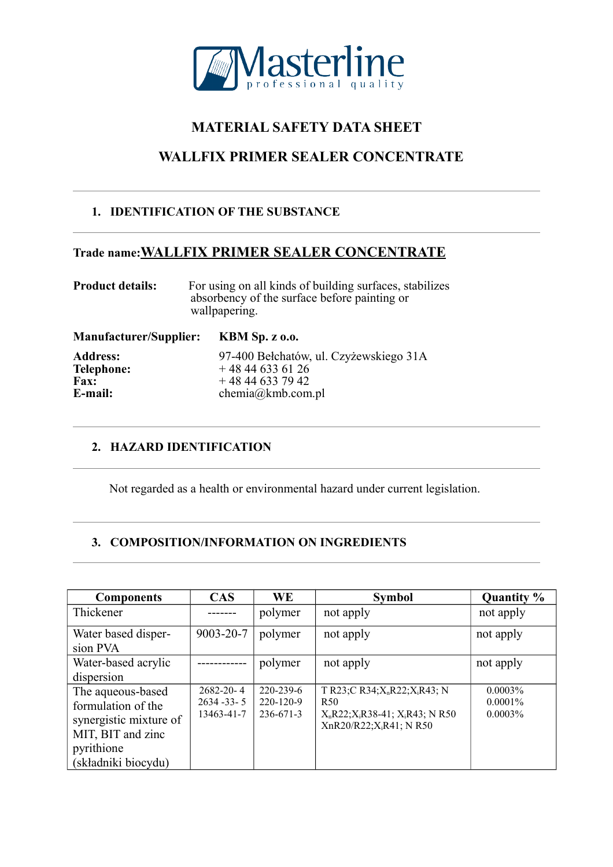

# **MATERIAL SAFETY DATA SHEET**

# **WALLFIX PRIMER SEALER CONCENTRATE**

# **1. IDENTIFICATION OF THE SUBSTANCE**

# **Trade name:WALLFIX PRIMER SEALER CONCENTRATE**

| <b>Product details:</b> | For using on all kinds of building surfaces, stabilizes<br>absorbency of the surface before painting or<br>wallpapering. |
|-------------------------|--------------------------------------------------------------------------------------------------------------------------|
|                         |                                                                                                                          |

**Manufacturer/Supplier: KBM Sp. z o.o.**

**Address:** 97-400 Bełchatów, ul. Czyżewskiego 31A<br> **Telephone:** + 48 44 633 61 26 **Telephone:**  $+48446336126$ <br>**Fax:**  $+48446337942$ **Fax:**  $+ 48446337942$ <br> **Fax:**  $+ 48446337942$ <br> **E-mail:** chemia@kmb.com **E-mail:** chemia@kmb.com.pl

# **2. HAZARD IDENTIFICATION**

Not regarded as a health or environmental hazard under current legislation.

# **3. COMPOSITION/INFORMATION ON INGREDIENTS**

| <b>Components</b>                                                                                                           | <b>CAS</b>                                       | WE                                              | <b>Symbol</b>                                                                                                                                         | Quantity %                             |
|-----------------------------------------------------------------------------------------------------------------------------|--------------------------------------------------|-------------------------------------------------|-------------------------------------------------------------------------------------------------------------------------------------------------------|----------------------------------------|
| Thickener                                                                                                                   |                                                  | polymer                                         | not apply                                                                                                                                             | not apply                              |
| Water based disper-<br>sion PVA                                                                                             | 9003-20-7                                        | polymer                                         | not apply                                                                                                                                             | not apply                              |
| Water-based acrylic<br>dispersion                                                                                           |                                                  | polymer                                         | not apply                                                                                                                                             | not apply                              |
| The aqueous-based<br>formulation of the<br>synergistic mixture of<br>MIT, BIT and zinc<br>pyrithione<br>(składniki biocydu) | $2682 - 20 - 4$<br>$2634 - 33 - 5$<br>13463-41-7 | $220 - 239 - 6$<br>220-120-9<br>$236 - 671 - 3$ | T R23;C R34;X <sub>n</sub> R22;X <sub>i</sub> R43; N<br>R <sub>50</sub><br>$X_nR22; X_iR38-41; X_iR43; N R50$<br>XnR20/R22; X <sub>i</sub> R41; N R50 | $0.0003\%$<br>$0.0001\%$<br>$0.0003\%$ |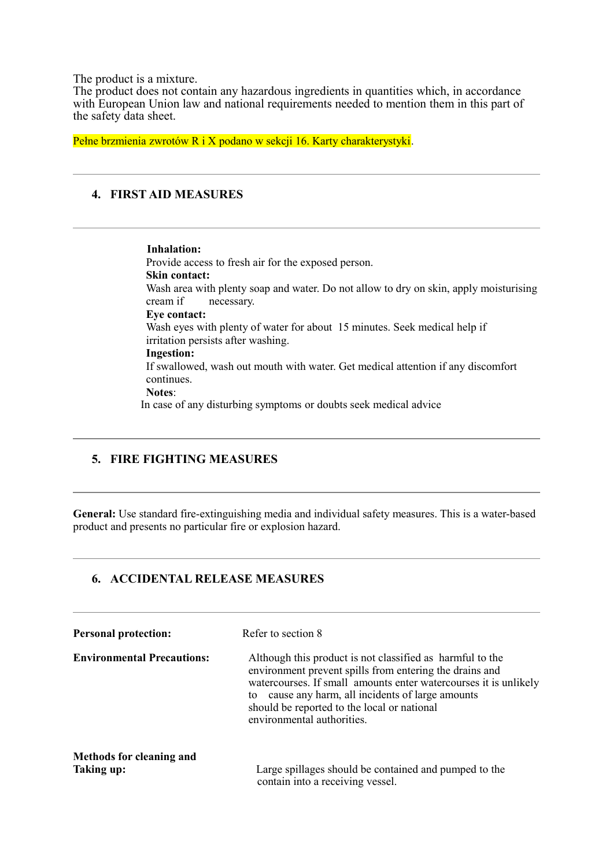The product is a mixture.

The product does not contain any hazardous ingredients in quantities which, in accordance with European Union law and national requirements needed to mention them in this part of the safety data sheet.

Pełne brzmienia zwrotów R i X podano w sekcji 16. Karty charakterystyki.

## **4. FIRST AID MEASURES**

 **Inhalation:** Provide access to fresh air for the exposed person. **Skin contact:** Wash area with plenty soap and water. Do not allow to dry on skin, apply moisturising cream if necessary. **Eye contact:** Wash eyes with plenty of water for about 15 minutes. Seek medical help if irritation persists after washing. **Ingestion:** If swallowed, wash out mouth with water. Get medical attention if any discomfort continues. **Notes**: In case of any disturbing symptoms or doubts seek medical advice

### **5. FIRE FIGHTING MEASURES**

**General:** Use standard fire-extinguishing media and individual safety measures. This is a water-based product and presents no particular fire or explosion hazard.

#### **6. ACCIDENTAL RELEASE MEASURES**

| <b>Personal protection:</b>            | Refer to section 8                                                                                                                                                                                                                                                                                                            |  |  |
|----------------------------------------|-------------------------------------------------------------------------------------------------------------------------------------------------------------------------------------------------------------------------------------------------------------------------------------------------------------------------------|--|--|
| <b>Environmental Precautions:</b>      | Although this product is not classified as harmful to the<br>environment prevent spills from entering the drains and<br>watercourses. If small amounts enter watercourses it is unlikely<br>cause any harm, all incidents of large amounts<br>to<br>should be reported to the local or national<br>environmental authorities. |  |  |
| Methods for cleaning and<br>Taking up: | Large spillages should be contained and pumped to the<br>contain into a receiving vessel.                                                                                                                                                                                                                                     |  |  |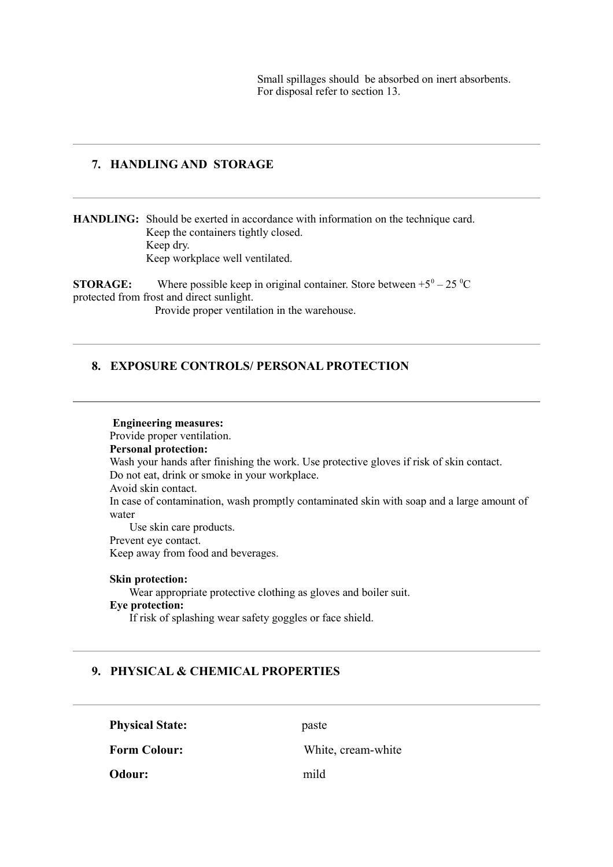Small spillages should be absorbed on inert absorbents. For disposal refer to section 13.

#### **7. HANDLING AND STORAGE**

**HANDLING:** Should be exerted in accordance with information on the technique card. Keep the containers tightly closed. Keep dry. Keep workplace well ventilated.

**STORAGE:** Where possible keep in original container. Store between  $+5^{\circ} - 25^{\circ}C$ protected from frost and direct sunlight. Provide proper ventilation in the warehouse.

#### **8. EXPOSURE CONTROLS/ PERSONAL PROTECTION**

**Engineering measures:** Provide proper ventilation. **Personal protection:** Wash your hands after finishing the work. Use protective gloves if risk of skin contact. Do not eat, drink or smoke in your workplace. Avoid skin contact. In case of contamination, wash promptly contaminated skin with soap and a large amount of water Use skin care products. Prevent eye contact. Keep away from food and beverages.

#### **Skin protection:**

Wear appropriate protective clothing as gloves and boiler suit. **Eye protection:**

If risk of splashing wear safety goggles or face shield.

#### **9. PHYSICAL & CHEMICAL PROPERTIES**

**Physical State:** paste **Form Colour:** White, cream-white **Odour:** mild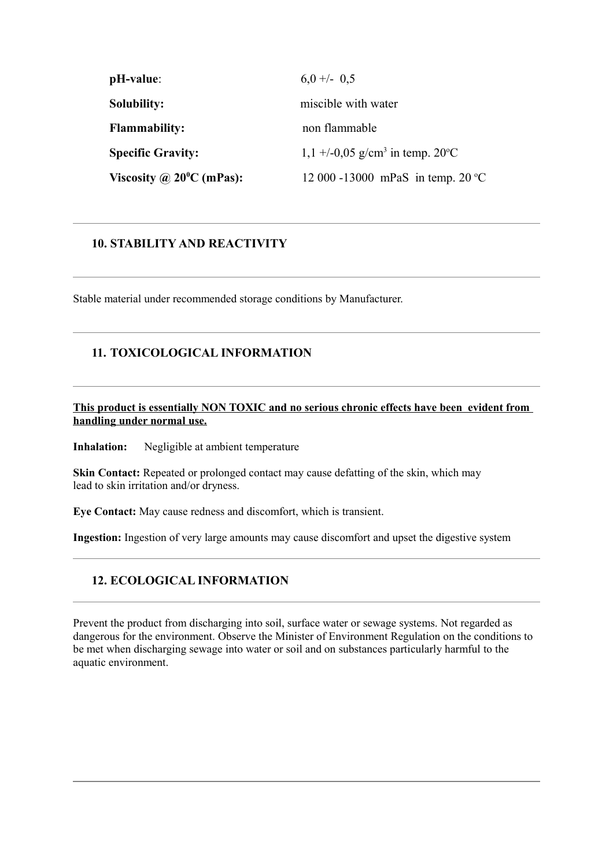| pH-value:                          | $6.0 +/- 0.5$                                                      |
|------------------------------------|--------------------------------------------------------------------|
| Solubility:                        | miscible with water                                                |
| <b>Flammability:</b>               | non flammable                                                      |
| <b>Specific Gravity:</b>           | $1,1 + (-0.05 \text{ g/cm}^3 \text{ in temp. } 20^{\circ}\text{C}$ |
| Viscosity @ $20^{\circ}$ C (mPas): | 12 000 -13000 mPaS in temp. 20 °C                                  |

### **10. STABILITY AND REACTIVITY**

Stable material under recommended storage conditions by Manufacturer.

## **11. TOXICOLOGICAL INFORMATION**

#### **This product is essentially NON TOXIC and no serious chronic effects have been evident from handling under normal use.**

**Inhalation:** Negligible at ambient temperature

**Skin Contact:** Repeated or prolonged contact may cause defatting of the skin, which may lead to skin irritation and/or dryness.

**Eye Contact:** May cause redness and discomfort, which is transient.

**Ingestion:** Ingestion of very large amounts may cause discomfort and upset the digestive system

## **12. ECOLOGICAL INFORMATION**

Prevent the product from discharging into soil, surface water or sewage systems. Not regarded as dangerous for the environment. Observe the Minister of Environment Regulation on the conditions to be met when discharging sewage into water or soil and on substances particularly harmful to the aquatic environment.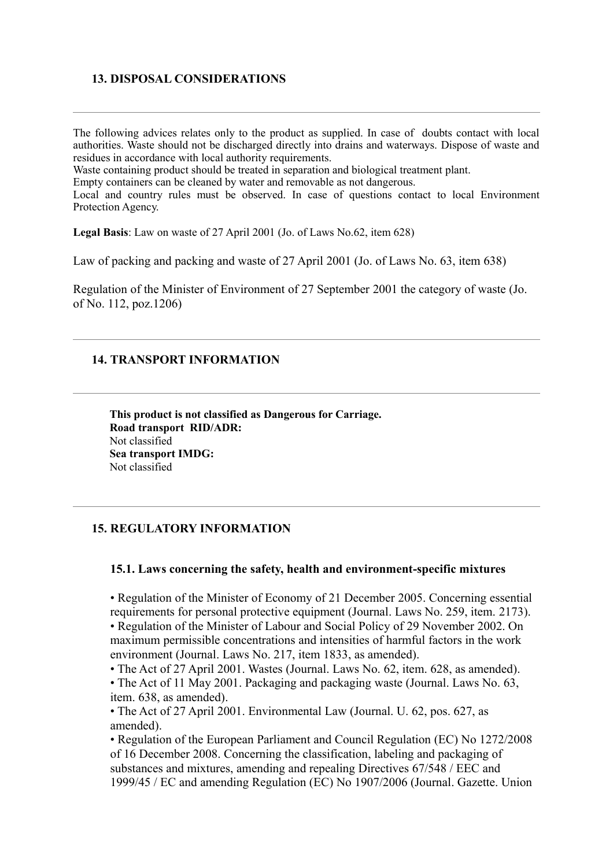### **13. DISPOSAL CONSIDERATIONS**

The following advices relates only to the product as supplied. In case of doubts contact with local authorities. Waste should not be discharged directly into drains and waterways. Dispose of waste and residues in accordance with local authority requirements.

Waste containing product should be treated in separation and biological treatment plant.

Empty containers can be cleaned by water and removable as not dangerous.

Local and country rules must be observed. In case of questions contact to local Environment Protection Agency.

**Legal Basis**: Law on waste of 27 April 2001 (Jo. of Laws No.62, item 628)

Law of packing and packing and waste of 27 April 2001 (Jo. of Laws No. 63, item 638)

Regulation of the Minister of Environment of 27 September 2001 the category of waste (Jo. of No. 112, poz.1206)

#### **14. TRANSPORT INFORMATION**

**This product is not classified as Dangerous for Carriage. Road transport RID/ADR:** Not classified **Sea transport IMDG:** Not classified

#### **15. REGULATORY INFORMATION**

#### **15.1. Laws concerning the safety, health and environment-specific mixtures**

• Regulation of the Minister of Economy of 21 December 2005. Concerning essential requirements for personal protective equipment (Journal. Laws No. 259, item. 2173).

• Regulation of the Minister of Labour and Social Policy of 29 November 2002. On maximum permissible concentrations and intensities of harmful factors in the work environment (Journal. Laws No. 217, item 1833, as amended).

• The Act of 27 April 2001. Wastes (Journal. Laws No. 62, item. 628, as amended).

• The Act of 11 May 2001. Packaging and packaging waste (Journal. Laws No. 63, item. 638, as amended).

• The Act of 27 April 2001. Environmental Law (Journal. U. 62, pos. 627, as amended).

• Regulation of the European Parliament and Council Regulation (EC) No 1272/2008 of 16 December 2008. Concerning the classification, labeling and packaging of substances and mixtures, amending and repealing Directives 67/548 / EEC and 1999/45 / EC and amending Regulation (EC) No 1907/2006 (Journal. Gazette. Union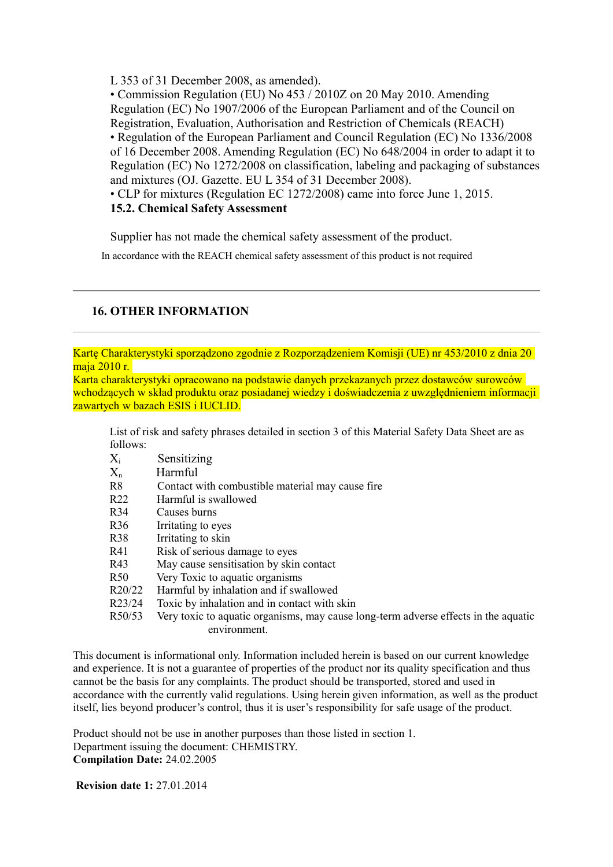L 353 of 31 December 2008, as amended).

• Commission Regulation (EU) No 453 / 2010Z on 20 May 2010. Amending Regulation (EC) No 1907/2006 of the European Parliament and of the Council on Registration, Evaluation, Authorisation and Restriction of Chemicals (REACH) • Regulation of the European Parliament and Council Regulation (EC) No 1336/2008 of 16 December 2008. Amending Regulation (EC) No 648/2004 in order to adapt it to Regulation (EC) No 1272/2008 on classification, labeling and packaging of substances and mixtures (OJ. Gazette. EU L 354 of 31 December 2008).

• CLP for mixtures (Regulation EC 1272/2008) came into force June 1, 2015. **15.2. Chemical Safety Assessment**

Supplier has not made the chemical safety assessment of the product.

In accordance with the REACH chemical safety assessment of this product is not required

## **16. OTHER INFORMATION**

Kartę Charakterystyki sporządzono zgodnie z Rozporządzeniem Komisji (UE) nr 453/2010 z dnia 20 maja 2010 r.

Karta charakterystyki opracowano na podstawie danych przekazanych przez dostawców surowców wchodzących w skład produktu oraz posiadanej wiedzy i doświadczenia z uwzględnieniem informacji zawartych w bazach ESIS i IUCLID.

List of risk and safety phrases detailed in section 3 of this Material Safety Data Sheet are as follows:

- Xi Sensitizing
- $X_n$  Harmful
- R8 Contact with combustible material may cause fire
- R22 Harmful is swallowed
- R34 Causes burns
- R36 Irritating to eyes
- R38 Irritating to skin
- R41 Risk of serious damage to eyes
- R43 May cause sensitisation by skin contact
- R50 Very Toxic to aquatic organisms
- R20/22 Harmful by inhalation and if swallowed
- R23/24 Toxic by inhalation and in contact with skin
- R50/53 Very toxic to aquatic organisms, may cause long-term adverse effects in the aquatic environment.

This document is informational only. Information included herein is based on our current knowledge and experience. It is not a guarantee of properties of the product nor its quality specification and thus cannot be the basis for any complaints. The product should be transported, stored and used in accordance with the currently valid regulations. Using herein given information, as well as the product itself, lies beyond producer's control, thus it is user's responsibility for safe usage of the product.

Product should not be use in another purposes than those listed in section 1. Department issuing the document: CHEMISTRY. **Compilation Date:** 24.02.2005

**Revision date 1:** 27.01.2014